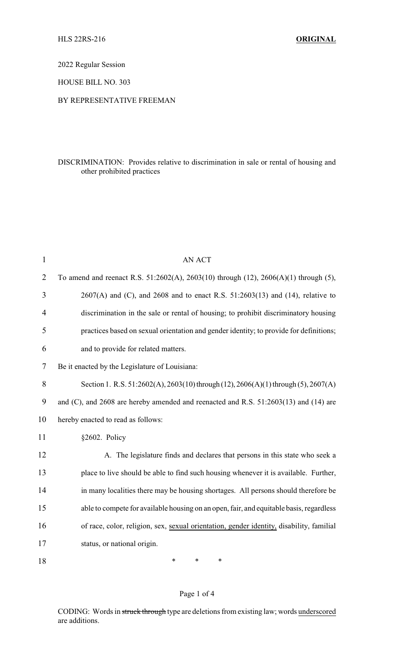2022 Regular Session

HOUSE BILL NO. 303

#### BY REPRESENTATIVE FREEMAN

### DISCRIMINATION: Provides relative to discrimination in sale or rental of housing and other prohibited practices

| $\mathbf{1}$   | <b>AN ACT</b>                                                                            |
|----------------|------------------------------------------------------------------------------------------|
| $\overline{2}$ | To amend and reenact R.S. 51:2602(A), 2603(10) through (12), 2606(A)(1) through (5),     |
| 3              | $2607(A)$ and (C), and $2608$ and to enact R.S. $51:2603(13)$ and (14), relative to      |
| 4              | discrimination in the sale or rental of housing; to prohibit discriminatory housing      |
| 5              | practices based on sexual orientation and gender identity; to provide for definitions;   |
| 6              | and to provide for related matters.                                                      |
| 7              | Be it enacted by the Legislature of Louisiana:                                           |
| 8              | Section 1. R.S. $51:2602(A), 2603(10)$ through $(12), 2606(A)(1)$ through $(5), 2607(A)$ |
| 9              | and (C), and 2608 are hereby amended and reenacted and R.S. 51:2603(13) and (14) are     |
| 10             | hereby enacted to read as follows:                                                       |
| 11             | §2602. Policy                                                                            |
| 12             | A. The legislature finds and declares that persons in this state who seek a              |
| 13             | place to live should be able to find such housing whenever it is available. Further,     |
| 14             | in many localities there may be housing shortages. All persons should therefore be       |
| 15             | able to compete for available housing on an open, fair, and equitable basis, regardless  |
| 16             | of race, color, religion, sex, sexual orientation, gender identity, disability, familial |
| 17             | status, or national origin.                                                              |
| 18             | *<br>*<br>∗                                                                              |

#### Page 1 of 4

CODING: Words in struck through type are deletions from existing law; words underscored are additions.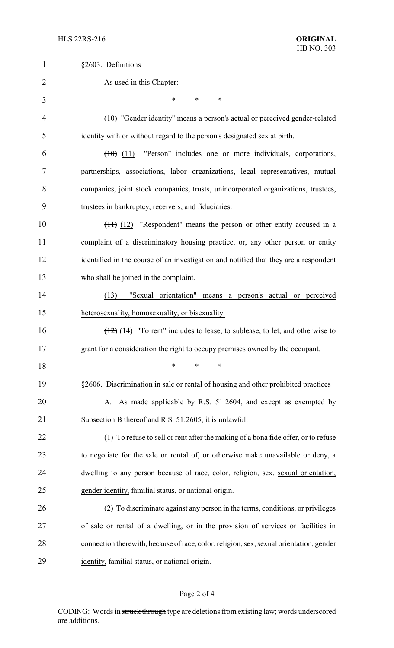| $\mathbf{1}$   | §2603. Definitions                                                                      |
|----------------|-----------------------------------------------------------------------------------------|
| $\overline{2}$ | As used in this Chapter:                                                                |
| 3              | *<br>*<br>$\ast$                                                                        |
| 4              | (10) "Gender identity" means a person's actual or perceived gender-related              |
| 5              | identity with or without regard to the person's designated sex at birth.                |
| 6              | "Person" includes one or more individuals, corporations,<br>(10)(11)                    |
| 7              | partnerships, associations, labor organizations, legal representatives, mutual          |
| 8              | companies, joint stock companies, trusts, unincorporated organizations, trustees,       |
| 9              | trustees in bankruptcy, receivers, and fiduciaries.                                     |
| 10             | $(11)$ (12) "Respondent" means the person or other entity accused in a                  |
| 11             | complaint of a discriminatory housing practice, or, any other person or entity          |
| 12             | identified in the course of an investigation and notified that they are a respondent    |
| 13             | who shall be joined in the complaint.                                                   |
| 14             | (13)<br>"Sexual orientation" means a person's actual or perceived                       |
| 15             | heterosexuality, homosexuality, or bisexuality.                                         |
| 16             | $(12)$ (14) "To rent" includes to lease, to sublease, to let, and otherwise to          |
| 17             | grant for a consideration the right to occupy premises owned by the occupant.           |
| 18             | $\ast$<br>*<br>*                                                                        |
| 19             | §2606. Discrimination in sale or rental of housing and other prohibited practices       |
| 20             | A. As made applicable by R.S. 51:2604, and except as exempted by                        |
| 21             | Subsection B thereof and R.S. 51:2605, it is unlawful:                                  |
| 22             | (1) To refuse to sell or rent after the making of a bona fide offer, or to refuse       |
| 23             | to negotiate for the sale or rental of, or otherwise make unavailable or deny, a        |
| 24             | dwelling to any person because of race, color, religion, sex, sexual orientation,       |
| 25             | gender identity, familial status, or national origin.                                   |
| 26             | (2) To discriminate against any person in the terms, conditions, or privileges          |
| 27             | of sale or rental of a dwelling, or in the provision of services or facilities in       |
| 28             | connection therewith, because of race, color, religion, sex, sexual orientation, gender |
| 29             | identity, familial status, or national origin.                                          |

# Page 2 of 4

CODING: Words in struck through type are deletions from existing law; words underscored are additions.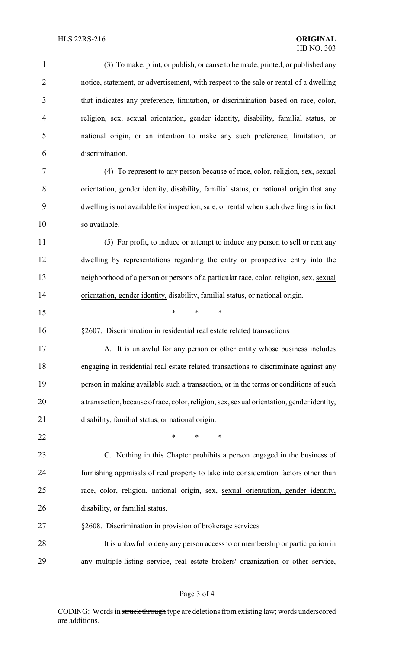| $\mathbf{1}$   | (3) To make, print, or publish, or cause to be made, printed, or published any             |
|----------------|--------------------------------------------------------------------------------------------|
| $\overline{2}$ | notice, statement, or advertisement, with respect to the sale or rental of a dwelling      |
| 3              | that indicates any preference, limitation, or discrimination based on race, color,         |
| 4              | religion, sex, sexual orientation, gender identity, disability, familial status, or        |
| 5              | national origin, or an intention to make any such preference, limitation, or               |
| 6              | discrimination.                                                                            |
| 7              | (4) To represent to any person because of race, color, religion, sex, sexual               |
| 8              | orientation, gender identity, disability, familial status, or national origin that any     |
| 9              | dwelling is not available for inspection, sale, or rental when such dwelling is in fact    |
| 10             | so available.                                                                              |
| 11             | (5) For profit, to induce or attempt to induce any person to sell or rent any              |
| 12             | dwelling by representations regarding the entry or prospective entry into the              |
| 13             | neighborhood of a person or persons of a particular race, color, religion, sex, sexual     |
| 14             | orientation, gender identity, disability, familial status, or national origin.             |
| 15             | $\ast$<br>*<br>∗                                                                           |
| 16             | §2607. Discrimination in residential real estate related transactions                      |
| 17             | A. It is unlawful for any person or other entity whose business includes                   |
| 18             | engaging in residential real estate related transactions to discriminate against any       |
| 19             | person in making available such a transaction, or in the terms or conditions of such       |
| 20             | a transaction, because of race, color, religion, sex, sexual orientation, gender identity, |
| 21             | disability, familial status, or national origin.                                           |
| 22             | *<br>*<br>∗                                                                                |
| 23             | C. Nothing in this Chapter prohibits a person engaged in the business of                   |
| 24             | furnishing appraisals of real property to take into consideration factors other than       |
| 25             | race, color, religion, national origin, sex, sexual orientation, gender identity,          |
| 26             | disability, or familial status.                                                            |
| 27             | §2608. Discrimination in provision of brokerage services                                   |
| 28             | It is unlawful to deny any person access to or membership or participation in              |
| 29             | any multiple-listing service, real estate brokers' organization or other service,          |

# Page 3 of 4